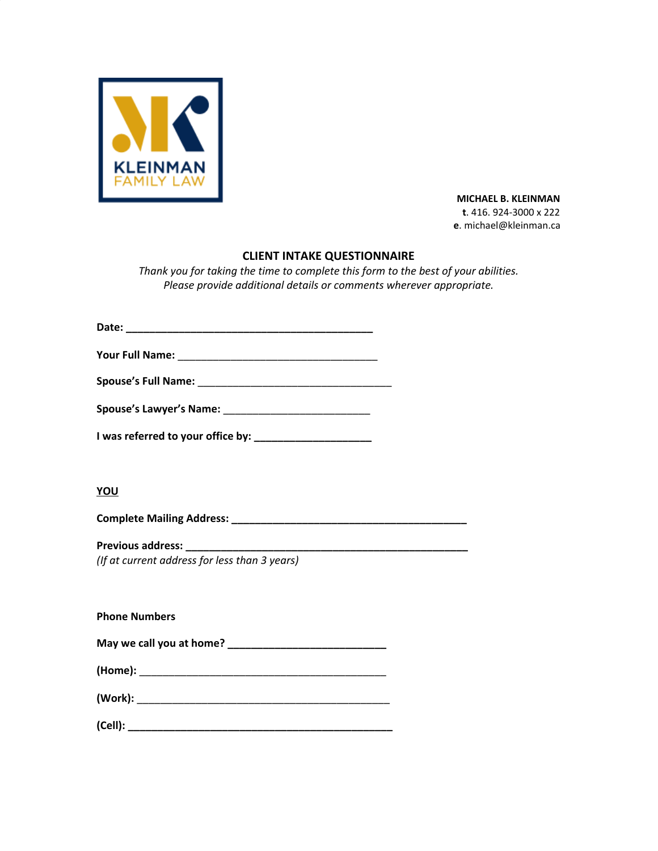

 **MICHAEL B. KLEINMAN t**. 416. 924-3000 x 222 **e**. michael@kleinman.ca

# **CLIENT INTAKE QUESTIONNAIRE**

*Thank you for taking the time to complete this form to the best of your abilities. Please provide additional details or comments wherever appropriate.*

**I was referred to your office by: \_\_\_\_\_\_\_\_\_\_\_\_\_\_\_\_\_\_\_\_**

## **YOU**

**Complete Mailing Address: \_\_\_\_\_\_\_\_\_\_\_\_\_\_\_\_\_\_\_\_\_\_\_\_\_\_\_\_\_\_\_\_\_\_\_\_\_\_\_\_**

**Previous address: \_\_\_\_\_\_\_\_\_\_\_\_\_\_\_\_\_\_\_\_\_\_\_\_\_\_\_\_\_\_\_\_\_\_\_\_\_\_\_\_\_\_\_\_\_\_\_\_**

*(If at current address for less than 3 years)*

**Phone Numbers**

| May we call you at home? |  |
|--------------------------|--|
|--------------------------|--|

| (Home): |  |  |
|---------|--|--|
|         |  |  |
|         |  |  |

**(Cell): \_\_\_\_\_\_\_\_\_\_\_\_\_\_\_\_\_\_\_\_\_\_\_\_\_\_\_\_\_\_\_\_\_\_\_\_\_\_\_\_\_\_\_\_\_**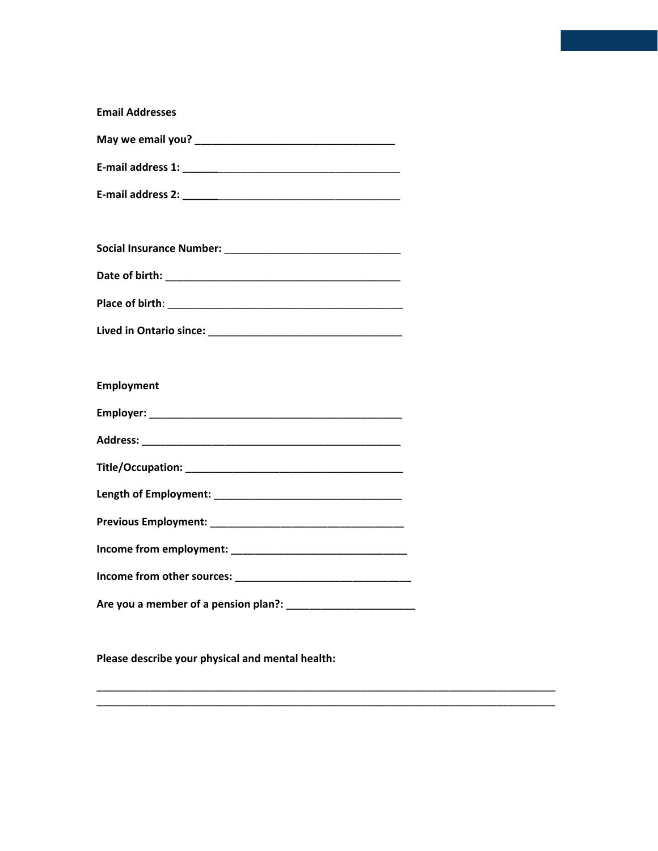| <b>Email Addresses</b> |  |
|------------------------|--|
|                        |  |
|                        |  |
|                        |  |
|                        |  |
|                        |  |
|                        |  |
|                        |  |
|                        |  |
|                        |  |
| Employment             |  |
|                        |  |
|                        |  |
|                        |  |
|                        |  |
|                        |  |
|                        |  |
|                        |  |
|                        |  |
|                        |  |

**Please describe your physical and mental health:**

\_\_\_\_\_\_\_\_\_\_\_\_\_\_\_\_\_\_\_\_\_\_\_\_\_\_\_\_\_\_\_\_\_\_\_\_\_\_\_\_\_\_\_\_\_\_\_\_\_\_\_\_\_\_\_\_\_\_\_\_\_\_\_\_\_\_\_\_\_\_\_\_\_\_\_\_\_\_ \_\_\_\_\_\_\_\_\_\_\_\_\_\_\_\_\_\_\_\_\_\_\_\_\_\_\_\_\_\_\_\_\_\_\_\_\_\_\_\_\_\_\_\_\_\_\_\_\_\_\_\_\_\_\_\_\_\_\_\_\_\_\_\_\_\_\_\_\_\_\_\_\_\_\_\_\_\_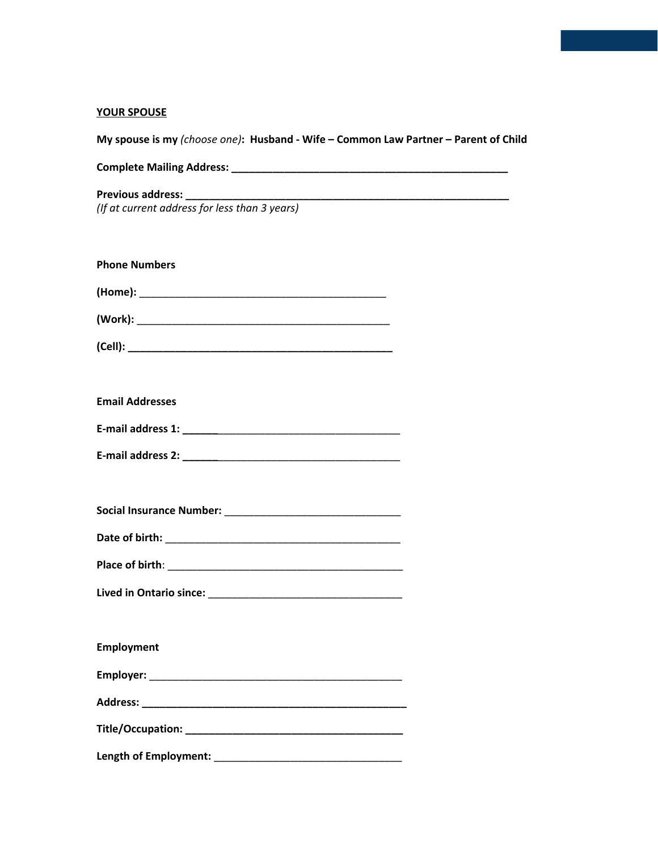# **YOUR SPOUSE**

| My spouse is my (choose one): Husband - Wife - Common Law Partner - Parent of Child |
|-------------------------------------------------------------------------------------|
|                                                                                     |
| (If at current address for less than $\overline{3 \text{ years}}$ )                 |
| <b>Phone Numbers</b>                                                                |
|                                                                                     |
|                                                                                     |
|                                                                                     |
|                                                                                     |
| <b>Email Addresses</b>                                                              |
|                                                                                     |
|                                                                                     |
|                                                                                     |
|                                                                                     |
|                                                                                     |
|                                                                                     |
|                                                                                     |
|                                                                                     |
| Employment                                                                          |
|                                                                                     |
|                                                                                     |
|                                                                                     |
|                                                                                     |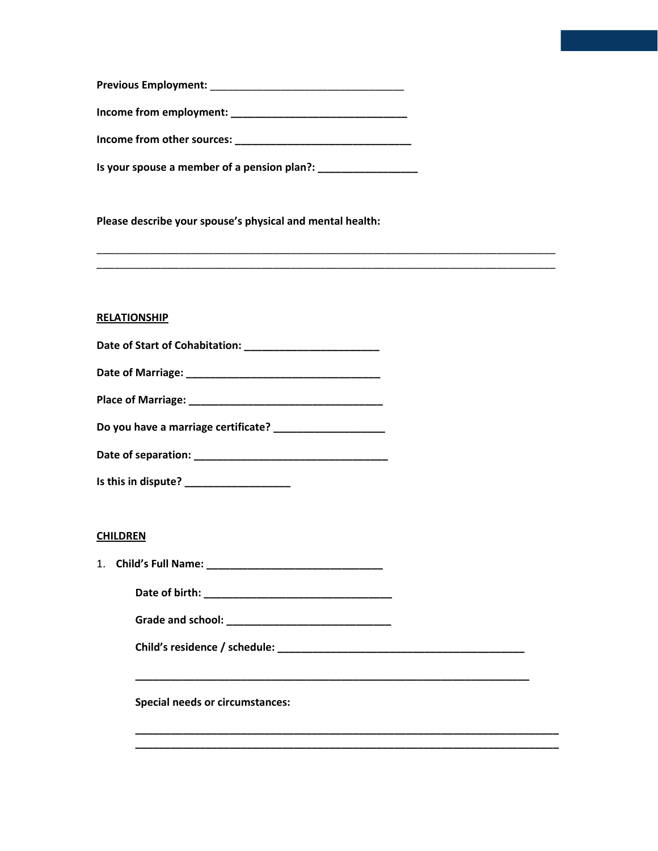| <b>Previous Employment:</b> |  |
|-----------------------------|--|
|                             |  |

**Income from employment: \_\_\_\_\_\_\_\_\_\_\_\_\_\_\_\_\_\_\_\_\_\_\_\_\_\_\_\_\_\_**

**Income from other sources: \_\_\_\_\_\_\_\_\_\_\_\_\_\_\_\_\_\_\_\_\_\_\_\_\_\_\_\_\_\_**

**Is your spouse a member of a pension plan?: \_\_\_\_\_\_\_\_\_\_\_\_\_\_\_\_\_**

**Please describe your spouse's physical and mental health:**

**RELATIONSHIP**

| Date of Marriage: |  |
|-------------------|--|
|-------------------|--|

| <b>Place of Marriage:</b> |  |
|---------------------------|--|
|---------------------------|--|

**Do you have a marriage certificate? \_\_\_\_\_\_\_\_\_\_\_\_\_\_\_\_\_\_\_**

| Date of separation: |  |
|---------------------|--|
|---------------------|--|

**Is this in dispute? \_\_\_\_\_\_\_\_\_\_\_\_\_\_\_\_\_\_**

## **CHILDREN**

1. **Child's Full Name: \_\_\_\_\_\_\_\_\_\_\_\_\_\_\_\_\_\_\_\_\_\_\_\_\_\_\_\_\_\_**

**Date of birth: \_\_\_\_\_\_\_\_\_\_\_\_\_\_\_\_\_\_\_\_\_\_\_\_\_\_\_\_\_\_\_\_**

**Grade and school: \_\_\_\_\_\_\_\_\_\_\_\_\_\_\_\_\_\_\_\_\_\_\_\_\_\_\_\_**

**Child's residence / schedule: \_\_\_\_\_\_\_\_\_\_\_\_\_\_\_\_\_\_\_\_\_\_\_\_\_\_\_\_\_\_\_\_\_\_\_\_\_\_\_\_\_\_**

**\_\_\_\_\_\_\_\_\_\_\_\_\_\_\_\_\_\_\_\_\_\_\_\_\_\_\_\_\_\_\_\_\_\_\_\_\_\_\_\_\_\_\_\_\_\_\_\_\_\_\_\_\_\_\_\_\_\_\_\_\_\_\_\_\_\_\_**

**\_\_\_\_\_\_\_\_\_\_\_\_\_\_\_\_\_\_\_\_\_\_\_\_\_\_\_\_\_\_\_\_\_\_\_\_\_\_\_\_\_\_\_\_\_\_\_\_\_\_\_\_\_\_\_\_\_\_\_\_\_\_\_\_\_\_\_\_\_\_\_\_ \_\_\_\_\_\_\_\_\_\_\_\_\_\_\_\_\_\_\_\_\_\_\_\_\_\_\_\_\_\_\_\_\_\_\_\_\_\_\_\_\_\_\_\_\_\_\_\_\_\_\_\_\_\_\_\_\_\_\_\_\_\_\_\_\_\_\_\_\_\_\_\_**

\_\_\_\_\_\_\_\_\_\_\_\_\_\_\_\_\_\_\_\_\_\_\_\_\_\_\_\_\_\_\_\_\_\_\_\_\_\_\_\_\_\_\_\_\_\_\_\_\_\_\_\_\_\_\_\_\_\_\_\_\_\_\_\_\_\_\_\_\_\_\_\_\_\_\_\_\_\_ \_\_\_\_\_\_\_\_\_\_\_\_\_\_\_\_\_\_\_\_\_\_\_\_\_\_\_\_\_\_\_\_\_\_\_\_\_\_\_\_\_\_\_\_\_\_\_\_\_\_\_\_\_\_\_\_\_\_\_\_\_\_\_\_\_\_\_\_\_\_\_\_\_\_\_\_\_\_

**Special needs or circumstances:**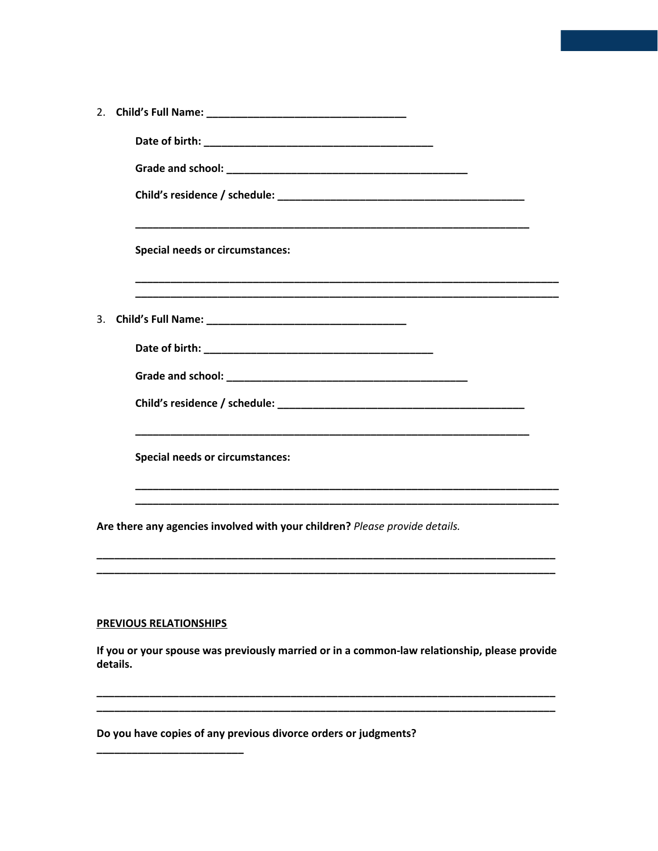|    | <b>Special needs or circumstances:</b>                                                                                        |
|----|-------------------------------------------------------------------------------------------------------------------------------|
| 3. |                                                                                                                               |
|    |                                                                                                                               |
|    |                                                                                                                               |
|    |                                                                                                                               |
|    | <b>Special needs or circumstances:</b>                                                                                        |
|    | Are there any agencies involved with your children? Please provide details.                                                   |
|    | <b>PREVIOUS RELATIONSHIPS</b><br>If you or your spouse was previously married or in a common-law relationship, please provide |
|    | details.                                                                                                                      |

Do you have copies of any previous divorce orders or judgments?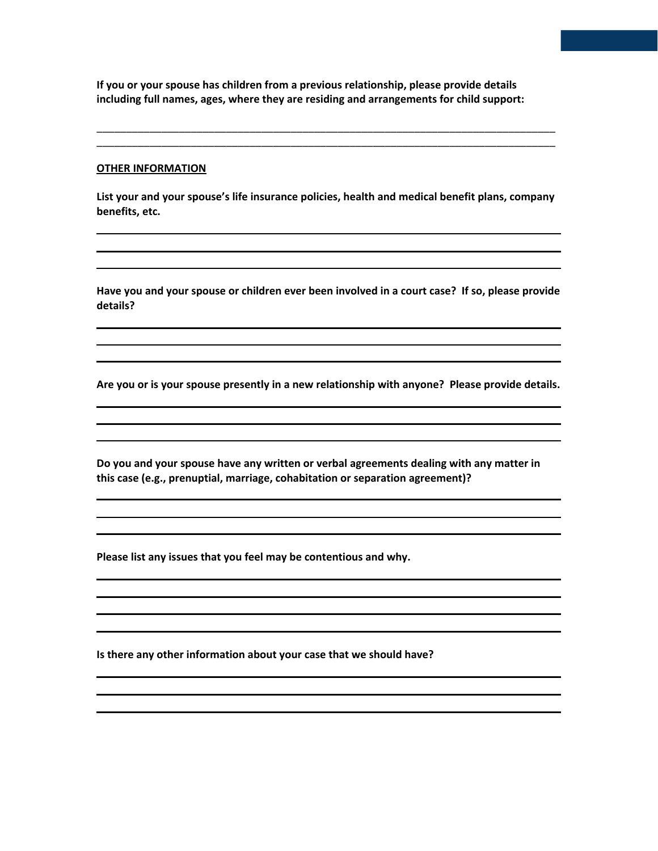**If you or your spouse has children from a previous relationship, please provide details including full names, ages, where they are residing and arrangements for child support:**

#### **OTHER INFORMATION**

**List your and your spouse's life insurance policies, health and medical benefit plans, company benefits, etc.**

\_\_\_\_\_\_\_\_\_\_\_\_\_\_\_\_\_\_\_\_\_\_\_\_\_\_\_\_\_\_\_\_\_\_\_\_\_\_\_\_\_\_\_\_\_\_\_\_\_\_\_\_\_\_\_\_\_\_\_\_\_\_\_\_\_\_\_\_\_\_\_\_\_\_\_\_\_\_ \_\_\_\_\_\_\_\_\_\_\_\_\_\_\_\_\_\_\_\_\_\_\_\_\_\_\_\_\_\_\_\_\_\_\_\_\_\_\_\_\_\_\_\_\_\_\_\_\_\_\_\_\_\_\_\_\_\_\_\_\_\_\_\_\_\_\_\_\_\_\_\_\_\_\_\_\_\_

**Have you and your spouse or children ever been involved in a court case? If so, please provide details?**

**Are you or is your spouse presently in a new relationship with anyone? Please provide details.**

**Do you and your spouse have any written or verbal agreements dealing with any matter in this case (e.g., prenuptial, marriage, cohabitation or separation agreement)?**

**Please list any issues that you feel may be contentious and why.**

**Is there any other information about your case that we should have?**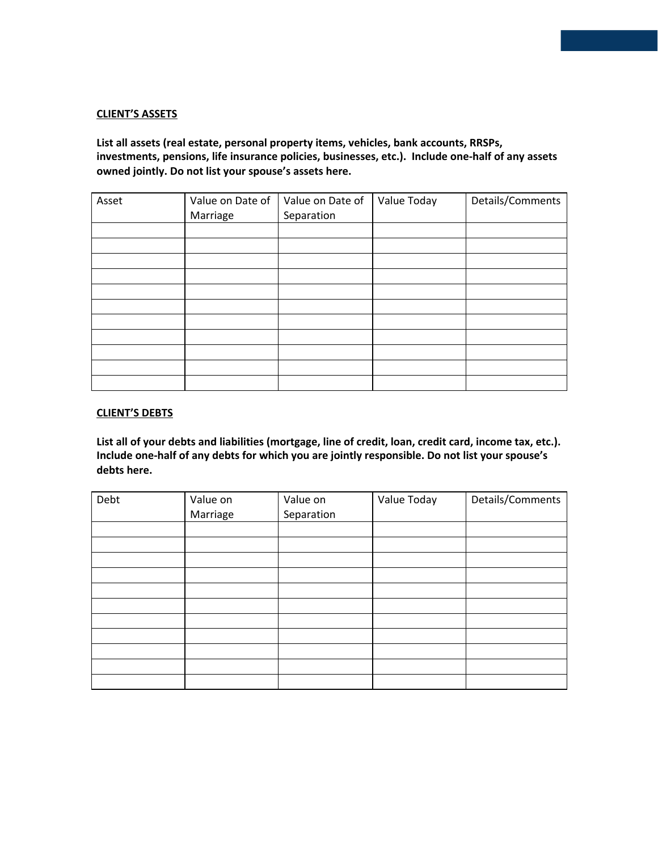### **CLIENT'S ASSETS**

# **List all assets (real estate, personal property items, vehicles, bank accounts, RRSPs, investments, pensions, life insurance policies, businesses, etc.). Include one-half of any assets owned jointly. Do not list your spouse's assets here.**

| Asset | Value on Date of<br>Marriage | Value on Date of<br>Separation | Value Today | Details/Comments |
|-------|------------------------------|--------------------------------|-------------|------------------|
|       |                              |                                |             |                  |
|       |                              |                                |             |                  |
|       |                              |                                |             |                  |
|       |                              |                                |             |                  |
|       |                              |                                |             |                  |
|       |                              |                                |             |                  |
|       |                              |                                |             |                  |
|       |                              |                                |             |                  |
|       |                              |                                |             |                  |
|       |                              |                                |             |                  |
|       |                              |                                |             |                  |

#### **CLIENT'S DEBTS**

**List all of your debts and liabilities (mortgage, line of credit, loan, credit card, income tax, etc.). Include one-half of any debts for which you are jointly responsible. Do not list your spouse's debts here.**

| Debt | Value on<br>Marriage | Value on<br>Separation | Value Today | Details/Comments |
|------|----------------------|------------------------|-------------|------------------|
|      |                      |                        |             |                  |
|      |                      |                        |             |                  |
|      |                      |                        |             |                  |
|      |                      |                        |             |                  |
|      |                      |                        |             |                  |
|      |                      |                        |             |                  |
|      |                      |                        |             |                  |
|      |                      |                        |             |                  |
|      |                      |                        |             |                  |
|      |                      |                        |             |                  |
|      |                      |                        |             |                  |